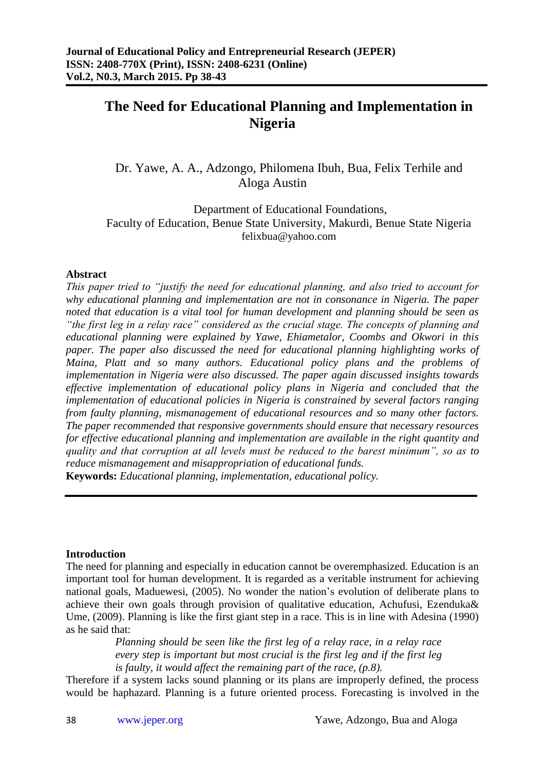# **The Need for Educational Planning and Implementation in Nigeria**

Dr. Yawe, A. A., Adzongo, Philomena Ibuh, Bua, Felix Terhile and Aloga Austin

Department of Educational Foundations, Faculty of Education, Benue State University, Makurdi, Benue State Nigeria felixbua@yahoo.com

#### **Abstract**

*This paper tried to "justify the need for educational planning, and also tried to account for why educational planning and implementation are not in consonance in Nigeria. The paper noted that education is a vital tool for human development and planning should be seen as "the first leg in a relay race" considered as the crucial stage. The concepts of planning and educational planning were explained by Yawe, Ehiametalor, Coombs and Okwori in this paper. The paper also discussed the need for educational planning highlighting works of Maina, Platt and so many authors. Educational policy plans and the problems of implementation in Nigeria were also discussed. The paper again discussed insights towards effective implementation of educational policy plans in Nigeria and concluded that the implementation of educational policies in Nigeria is constrained by several factors ranging from faulty planning, mismanagement of educational resources and so many other factors. The paper recommended that responsive governments should ensure that necessary resources for effective educational planning and implementation are available in the right quantity and quality and that corruption at all levels must be reduced to the barest minimum", so as to reduce mismanagement and misappropriation of educational funds.*

**Keywords:** *Educational planning, implementation, educational policy.*

## **Introduction**

The need for planning and especially in education cannot be overemphasized. Education is an important tool for human development. It is regarded as a veritable instrument for achieving national goals, Maduewesi, (2005). No wonder the nation's evolution of deliberate plans to achieve their own goals through provision of qualitative education, Achufusi, Ezenduka& Ume, (2009). Planning is like the first giant step in a race. This is in line with Adesina (1990) as he said that:

> *Planning should be seen like the first leg of a relay race, in a relay race every step is important but most crucial is the first leg and if the first leg is faulty, it would affect the remaining part of the race, (p.8).*

Therefore if a system lacks sound planning or its plans are improperly defined, the process would be haphazard. Planning is a future oriented process. Forecasting is involved in the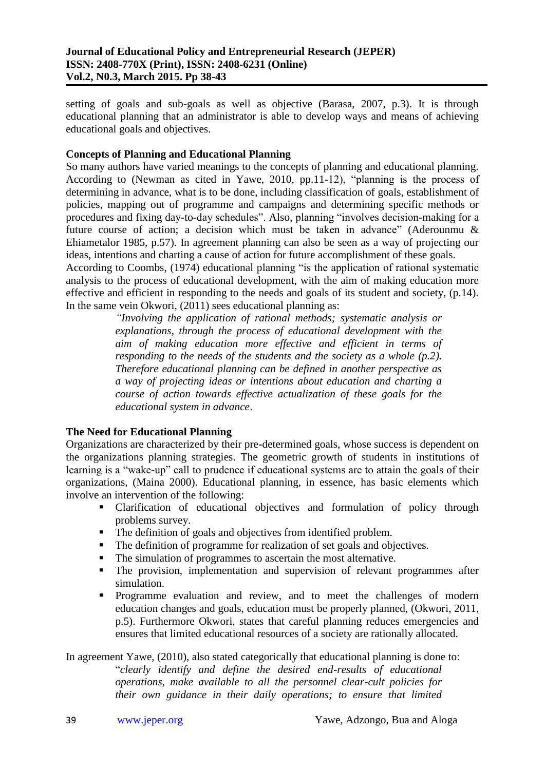setting of goals and sub-goals as well as objective (Barasa, 2007, p.3). It is through educational planning that an administrator is able to develop ways and means of achieving educational goals and objectives.

## **Concepts of Planning and Educational Planning**

So many authors have varied meanings to the concepts of planning and educational planning. According to (Newman as cited in Yawe, 2010, pp.11-12), "planning is the process of determining in advance, what is to be done, including classification of goals, establishment of policies, mapping out of programme and campaigns and determining specific methods or procedures and fixing day-to-day schedules". Also, planning "involves decision-making for a future course of action; a decision which must be taken in advance" (Aderounmu & Ehiametalor 1985, p.57). In agreement planning can also be seen as a way of projecting our ideas, intentions and charting a cause of action for future accomplishment of these goals. According to Coombs, (1974) educational planning "is the application of rational systematic

analysis to the process of educational development, with the aim of making education more effective and efficient in responding to the needs and goals of its student and society, (p.14). In the same vein Okwori, (2011) sees educational planning as:

*"Involving the application of rational methods; systematic analysis or explanations, through the process of educational development with the aim of making education more effective and efficient in terms of responding to the needs of the students and the society as a whole (p.2). Therefore educational planning can be defined in another perspective as a way of projecting ideas or intentions about education and charting a course of action towards effective actualization of these goals for the educational system in advance*.

# **The Need for Educational Planning**

Organizations are characterized by their pre-determined goals, whose success is dependent on the organizations planning strategies. The geometric growth of students in institutions of learning is a "wake-up" call to prudence if educational systems are to attain the goals of their organizations, (Maina 2000). Educational planning, in essence, has basic elements which involve an intervention of the following:

- Clarification of educational objectives and formulation of policy through problems survey.
- The definition of goals and objectives from identified problem.
- The definition of programme for realization of set goals and objectives.
- The simulation of programmes to ascertain the most alternative.
- The provision, implementation and supervision of relevant programmes after simulation.
- Programme evaluation and review, and to meet the challenges of modern education changes and goals, education must be properly planned, (Okwori, 2011, p.5). Furthermore Okwori, states that careful planning reduces emergencies and ensures that limited educational resources of a society are rationally allocated.

In agreement Yawe, (2010), also stated categorically that educational planning is done to: "*clearly identify and define the desired end-results of educational operations, make available to all the personnel clear-cult policies for their own guidance in their daily operations; to ensure that limited*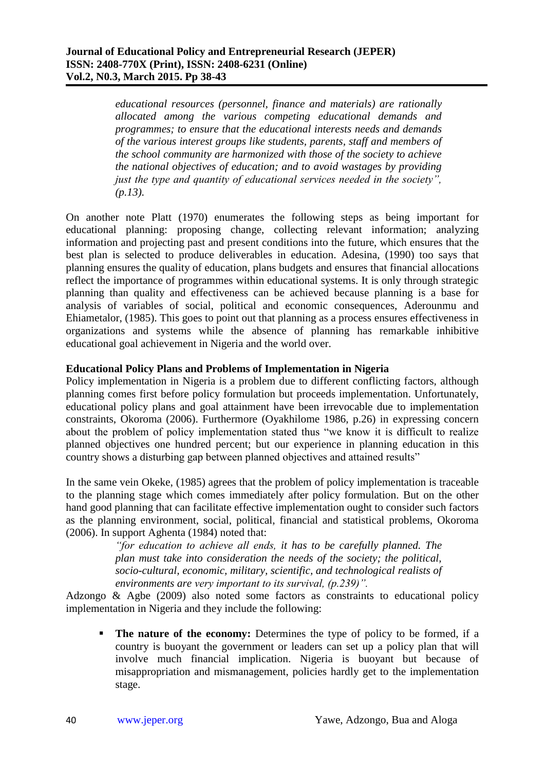*educational resources (personnel, finance and materials) are rationally allocated among the various competing educational demands and programmes; to ensure that the educational interests needs and demands of the various interest groups like students, parents, staff and members of the school community are harmonized with those of the society to achieve the national objectives of education; and to avoid wastages by providing just the type and quantity of educational services needed in the society", (p.13).*

On another note Platt (1970) enumerates the following steps as being important for educational planning: proposing change, collecting relevant information; analyzing information and projecting past and present conditions into the future, which ensures that the best plan is selected to produce deliverables in education. Adesina, (1990) too says that planning ensures the quality of education, plans budgets and ensures that financial allocations reflect the importance of programmes within educational systems. It is only through strategic planning than quality and effectiveness can be achieved because planning is a base for analysis of variables of social, political and economic consequences, Aderounmu and Ehiametalor, (1985). This goes to point out that planning as a process ensures effectiveness in organizations and systems while the absence of planning has remarkable inhibitive educational goal achievement in Nigeria and the world over.

## **Educational Policy Plans and Problems of Implementation in Nigeria**

Policy implementation in Nigeria is a problem due to different conflicting factors, although planning comes first before policy formulation but proceeds implementation. Unfortunately, educational policy plans and goal attainment have been irrevocable due to implementation constraints, Okoroma (2006). Furthermore (Oyakhilome 1986, p.26) in expressing concern about the problem of policy implementation stated thus "we know it is difficult to realize planned objectives one hundred percent; but our experience in planning education in this country shows a disturbing gap between planned objectives and attained results"

In the same vein Okeke, (1985) agrees that the problem of policy implementation is traceable to the planning stage which comes immediately after policy formulation. But on the other hand good planning that can facilitate effective implementation ought to consider such factors as the planning environment, social, political, financial and statistical problems, Okoroma (2006). In support Aghenta (1984) noted that:

> *"for education to achieve all ends, it has to be carefully planned. The plan must take into consideration the needs of the society; the political, socio-cultural, economic, military, scientific, and technological realists of environments are very important to its survival, (p.239)".*

Adzongo & Agbe (2009) also noted some factors as constraints to educational policy implementation in Nigeria and they include the following:

 **The nature of the economy:** Determines the type of policy to be formed, if a country is buoyant the government or leaders can set up a policy plan that will involve much financial implication. Nigeria is buoyant but because of misappropriation and mismanagement, policies hardly get to the implementation stage.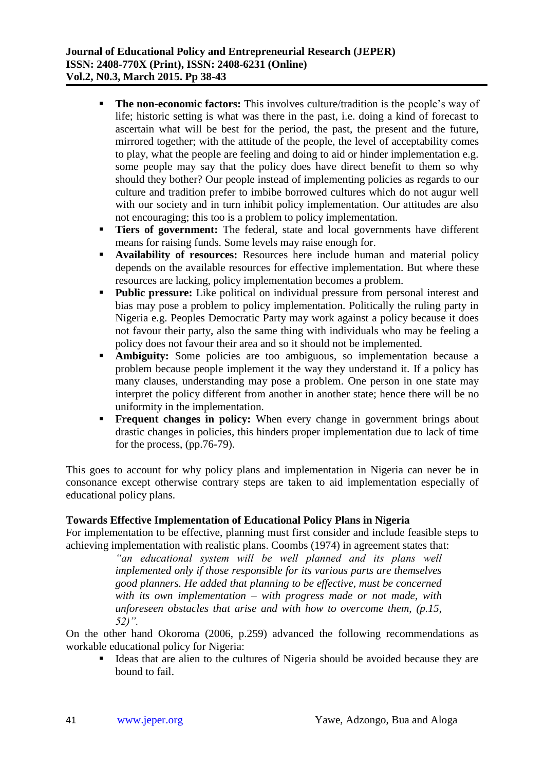- **The non-economic factors:** This involves culture/tradition is the people's way of life; historic setting is what was there in the past, i.e. doing a kind of forecast to ascertain what will be best for the period, the past, the present and the future, mirrored together; with the attitude of the people, the level of acceptability comes to play, what the people are feeling and doing to aid or hinder implementation e.g. some people may say that the policy does have direct benefit to them so why should they bother? Our people instead of implementing policies as regards to our culture and tradition prefer to imbibe borrowed cultures which do not augur well with our society and in turn inhibit policy implementation. Our attitudes are also not encouraging; this too is a problem to policy implementation.
- **Tiers of government:** The federal, state and local governments have different means for raising funds. Some levels may raise enough for.
- **Availability of resources:** Resources here include human and material policy depends on the available resources for effective implementation. But where these resources are lacking, policy implementation becomes a problem.
- **Public pressure:** Like political on individual pressure from personal interest and bias may pose a problem to policy implementation. Politically the ruling party in Nigeria e.g. Peoples Democratic Party may work against a policy because it does not favour their party, also the same thing with individuals who may be feeling a policy does not favour their area and so it should not be implemented.
- **Ambiguity:** Some policies are too ambiguous, so implementation because a problem because people implement it the way they understand it. If a policy has many clauses, understanding may pose a problem. One person in one state may interpret the policy different from another in another state; hence there will be no uniformity in the implementation.
- **Frequent changes in policy:** When every change in government brings about drastic changes in policies, this hinders proper implementation due to lack of time for the process, (pp.76-79).

This goes to account for why policy plans and implementation in Nigeria can never be in consonance except otherwise contrary steps are taken to aid implementation especially of educational policy plans.

# **Towards Effective Implementation of Educational Policy Plans in Nigeria**

For implementation to be effective, planning must first consider and include feasible steps to achieving implementation with realistic plans. Coombs (1974) in agreement states that:

> *"an educational system will be well planned and its plans well implemented only if those responsible for its various parts are themselves good planners. He added that planning to be effective, must be concerned with its own implementation – with progress made or not made, with unforeseen obstacles that arise and with how to overcome them, (p.15, 52)".*

On the other hand Okoroma (2006, p.259) advanced the following recommendations as workable educational policy for Nigeria:

 Ideas that are alien to the cultures of Nigeria should be avoided because they are bound to fail.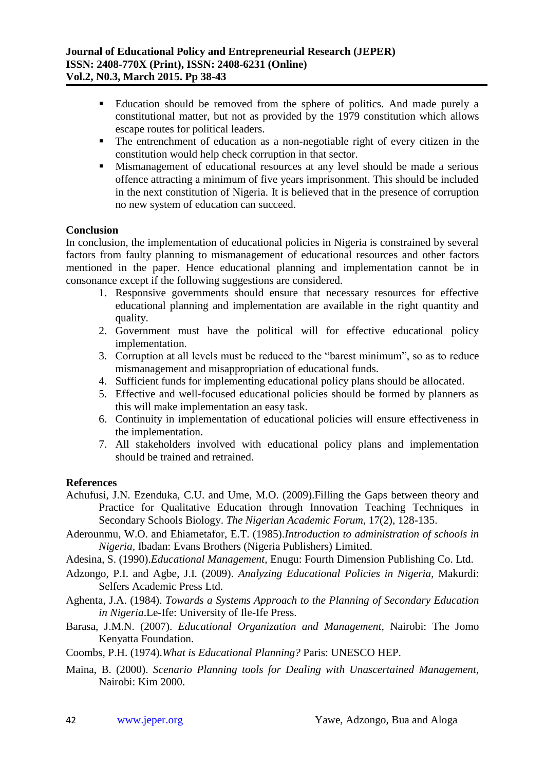- Education should be removed from the sphere of politics. And made purely a constitutional matter, but not as provided by the 1979 constitution which allows escape routes for political leaders.
- The entrenchment of education as a non-negotiable right of every citizen in the constitution would help check corruption in that sector.
- **Mismanagement of educational resources at any level should be made a serious** offence attracting a minimum of five years imprisonment. This should be included in the next constitution of Nigeria. It is believed that in the presence of corruption no new system of education can succeed.

## **Conclusion**

In conclusion, the implementation of educational policies in Nigeria is constrained by several factors from faulty planning to mismanagement of educational resources and other factors mentioned in the paper. Hence educational planning and implementation cannot be in consonance except if the following suggestions are considered.

- 1. Responsive governments should ensure that necessary resources for effective educational planning and implementation are available in the right quantity and quality.
- 2. Government must have the political will for effective educational policy implementation.
- 3. Corruption at all levels must be reduced to the "barest minimum", so as to reduce mismanagement and misappropriation of educational funds.
- 4. Sufficient funds for implementing educational policy plans should be allocated.
- 5. Effective and well-focused educational policies should be formed by planners as this will make implementation an easy task.
- 6. Continuity in implementation of educational policies will ensure effectiveness in the implementation.
- 7. All stakeholders involved with educational policy plans and implementation should be trained and retrained.

## **References**

- Achufusi, J.N. Ezenduka, C.U. and Ume, M.O. (2009).Filling the Gaps between theory and Practice for Qualitative Education through Innovation Teaching Techniques in Secondary Schools Biology. *The Nigerian Academic Forum*, 17(2), 128-135.
- Aderounmu, W.O. and Ehiametafor, E.T. (1985).*Introduction to administration of schools in Nigeria,* Ibadan: Evans Brothers (Nigeria Publishers) Limited.
- Adesina, S. (1990).*Educational Management*, Enugu: Fourth Dimension Publishing Co. Ltd.
- Adzongo, P.I. and Agbe, J.I. (2009). *Analyzing Educational Policies in Nigeria*, Makurdi: Selfers Academic Press Ltd.
- Aghenta, J.A. (1984). *Towards a Systems Approach to the Planning of Secondary Education in Nigeria*.Le-Ife: University of Ile-Ife Press.
- Barasa, J.M.N. (2007). *Educational Organization and Management*, Nairobi: The Jomo Kenyatta Foundation.
- Coombs, P.H. (1974).*What is Educational Planning?* Paris: UNESCO HEP.
- Maina, B. (2000). *Scenario Planning tools for Dealing with Unascertained Management,* Nairobi: Kim 2000.